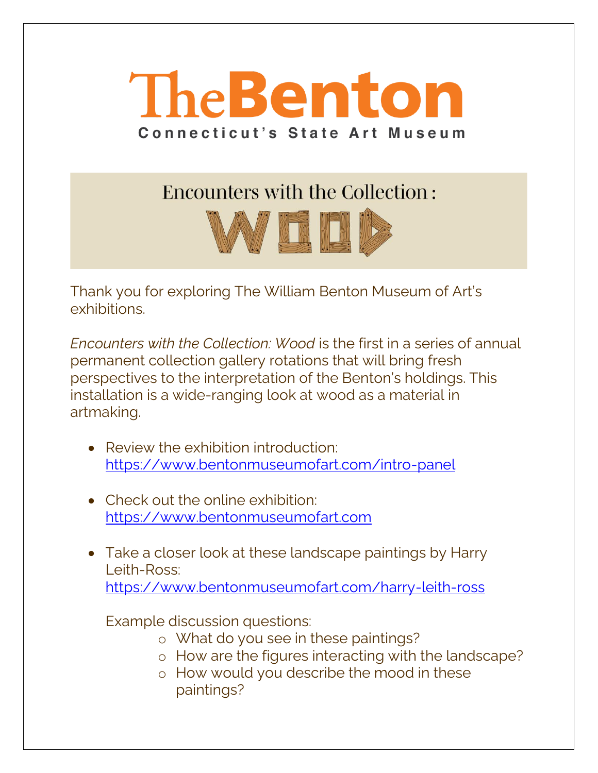

**Encounters with the Collection:** 



Thank you for exploring The William Benton Museum of Art's exhibitions.

*Encounters with the Collection: Wood* is the first in a series of annual permanent collection gallery rotations that will bring fresh perspectives to the interpretation of the Benton's holdings. This installation is a wide-ranging look at wood as a material in artmaking.

- Review the exhibition introduction: <https://www.bentonmuseumofart.com/intro-panel>
- Check out the online exhibition: [https://www.bentonmuseumofart.com](https://www.bentonmuseumofart.com/)
- Take a closer look at these landscape paintings by Harry Leith-Ross: <https://www.bentonmuseumofart.com/harry-leith-ross>

Example discussion questions:

- o What do you see in these paintings?
- o How are the figures interacting with the landscape?
- o How would you describe the mood in these paintings?